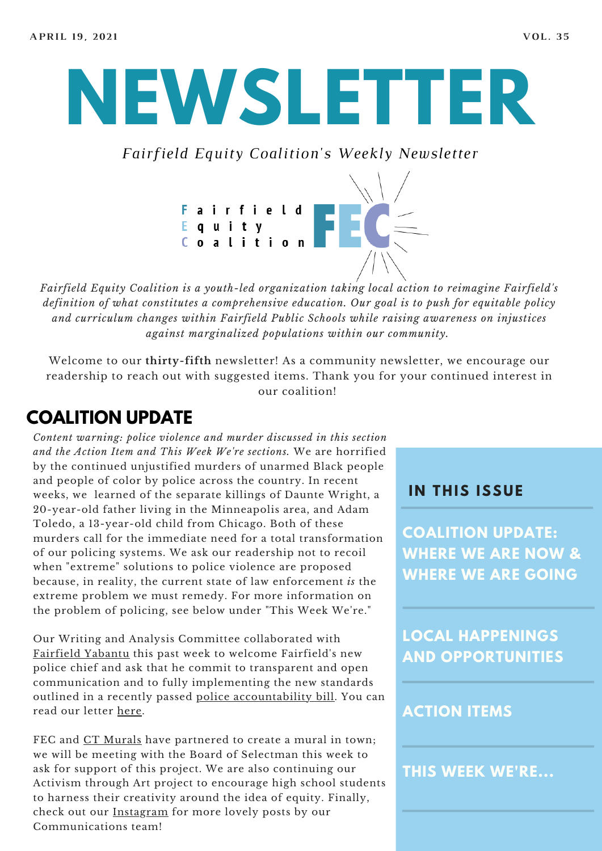**NEWSLETTER**

*Fairfield Equity Coalition's Weekly Newsletter*



*Fairfield Equity Coalition is a youth-led organization taking local action to reimagine Fairfield's definition of what constitutes a comprehensive education. Our goal is to push for equitable policy and curriculum changes within Fairfield Public Schools while raising awareness on injustices against marginalized populations within our community.*

Welcome to our **thirty-fifth** newsletter! As a community newsletter, we encourage our readership to reach out with suggested items. Thank you for your continued interest in our coalition!

## **COALITION UPDATE**

*Content warning: police violence and murder discussed in this section and the Action Item and This Week We're sections.* We are horrified by the continued unjustified murders of unarmed Black people and people of color by police across the country. In recent weeks, we learned of the separate killings of Daunte Wright, a 20-year-old father living in the Minneapolis area, and Adam Toledo, a 13-year-old child from Chicago. Both of these murders call for the immediate need for a total transformation of our policing systems. We ask our readership not to recoil when "extreme" solutions to police violence are proposed because, in reality, the current state of law enforcement *is* the extreme problem we must remedy. For more information on the problem of policing, see below under "This Week We're."

Our Writing and Analysis Committee collaborated with [Fairfield](https://fairfieldyabantu.com/) Yabantu this past week to welcome Fairfield's new police chief and ask that he commit to transparent and open communication and to fully implementing the new standards outlined in a recently passed police [accountability](https://www.cga.ct.gov/asp/cgabillstatus/cgabillstatus.asp?selBillType=Bill&bill_num=HB06004&which_year=2020) bill. You can read our letter [here.](https://56644f86-774e-40c4-96cb-8c4f0378a556.filesusr.com/ugd/57b32d_22b8a1cc70c54d6480f465af9039f54f.pdf)

FEC and CT [Murals](https://www.ctmurals.com/) have partnered to create a mural in town; we will be meeting with the Board of Selectman this week to ask for support of this project. We are also continuing our Activism through Art project to encourage high school students to harness their creativity around the idea of equity. Finally, check out our [Instagram](https://www.instagram.com/fairfieldequitycoalition/) for more lovely posts by our Communications team!

#### **I N THIS ISSUE**

**COALITION UPDATE: WHERE WE ARE NOW & WHERE WE ARE GOING**

**LOCAL HAPPENINGS AND OPPORTUNITIES**

#### **ACTION ITEMS**

**THIS WEEK WE'RE...**